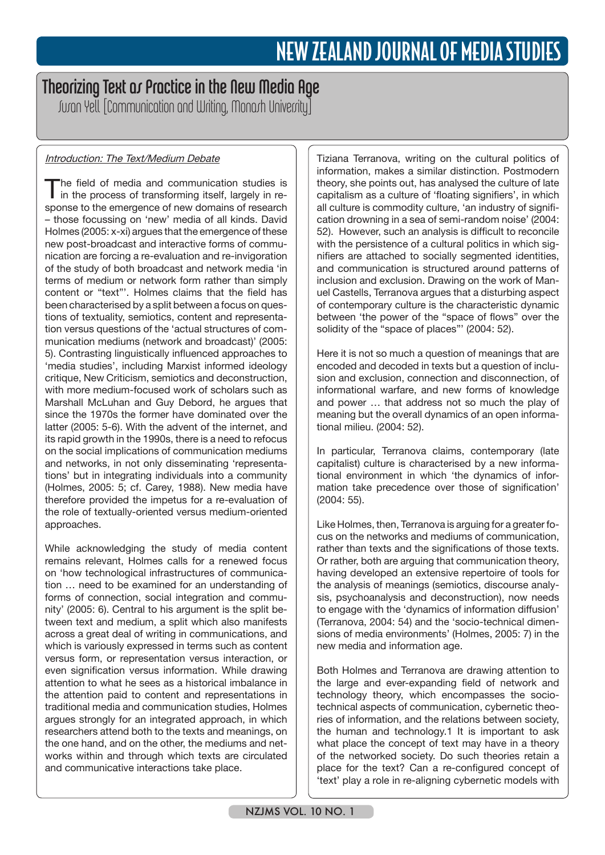# Theorizing Text os Practice in the New Media Age

Suran Yell [Communication and Writing, Monarh University]

# Introduction: The Text/Medium Debate

The field of media and communication studies is in the process of transforming itself, largely in response to the emergence of new domains of research – those focussing on 'new' media of all kinds. David Holmes (2005: x-xi) argues that the emergence of these new post-broadcast and interactive forms of communication are forcing a re-evaluation and re-invigoration of the study of both broadcast and network media 'in terms of medium or network form rather than simply content or "text"'. Holmes claims that the field has been characterised by a split between a focus on questions of textuality, semiotics, content and representation versus questions of the 'actual structures of communication mediums (network and broadcast)' (2005: 5). Contrasting linguistically influenced approaches to 'media studies', including Marxist informed ideology critique, New Criticism, semiotics and deconstruction, with more medium-focused work of scholars such as Marshall McLuhan and Guy Debord, he argues that since the 1970s the former have dominated over the latter (2005: 5-6). With the advent of the internet, and its rapid growth in the 1990s, there is a need to refocus on the social implications of communication mediums and networks, in not only disseminating 'representations' but in integrating individuals into a community (Holmes, 2005: 5; cf. Carey, 1988). New media have therefore provided the impetus for a re-evaluation of the role of textually-oriented versus medium-oriented approaches.

While acknowledging the study of media content remains relevant, Holmes calls for a renewed focus on 'how technological infrastructures of communication … need to be examined for an understanding of forms of connection, social integration and community' (2005: 6). Central to his argument is the split between text and medium, a split which also manifests across a great deal of writing in communications, and which is variously expressed in terms such as content versus form, or representation versus interaction, or even signification versus information. While drawing attention to what he sees as a historical imbalance in the attention paid to content and representations in traditional media and communication studies, Holmes argues strongly for an integrated approach, in which researchers attend both to the texts and meanings, on the one hand, and on the other, the mediums and networks within and through which texts are circulated and communicative interactions take place.

Tiziana Terranova, writing on the cultural politics of information, makes a similar distinction. Postmodern theory, she points out, has analysed the culture of late capitalism as a culture of 'floating signifiers', in which all culture is commodity culture, 'an industry of signification drowning in a sea of semi-random noise' (2004: 52). However, such an analysis is difficult to reconcile with the persistence of a cultural politics in which signifiers are attached to socially segmented identities, and communication is structured around patterns of inclusion and exclusion. Drawing on the work of Manuel Castells, Terranova argues that a disturbing aspect of contemporary culture is the characteristic dynamic between 'the power of the "space of flows" over the solidity of the "space of places"' (2004: 52).

Here it is not so much a question of meanings that are encoded and decoded in texts but a question of inclusion and exclusion, connection and disconnection, of informational warfare, and new forms of knowledge and power … that address not so much the play of meaning but the overall dynamics of an open informational milieu. (2004: 52).

In particular, Terranova claims, contemporary (late capitalist) culture is characterised by a new informational environment in which 'the dynamics of information take precedence over those of signification' (2004: 55).

Like Holmes, then, Terranova is arguing for a greater focus on the networks and mediums of communication, rather than texts and the significations of those texts. Or rather, both are arguing that communication theory, having developed an extensive repertoire of tools for the analysis of meanings (semiotics, discourse analysis, psychoanalysis and deconstruction), now needs to engage with the 'dynamics of information diffusion' (Terranova, 2004: 54) and the 'socio-technical dimensions of media environments' (Holmes, 2005: 7) in the new media and information age.

Both Holmes and Terranova are drawing attention to the large and ever-expanding field of network and technology theory, which encompasses the sociotechnical aspects of communication, cybernetic theories of information, and the relations between society, the human and technology.1 It is important to ask what place the concept of text may have in a theory of the networked society. Do such theories retain a place for the text? Can a re-configured concept of 'text' play a role in re-aligning cybernetic models with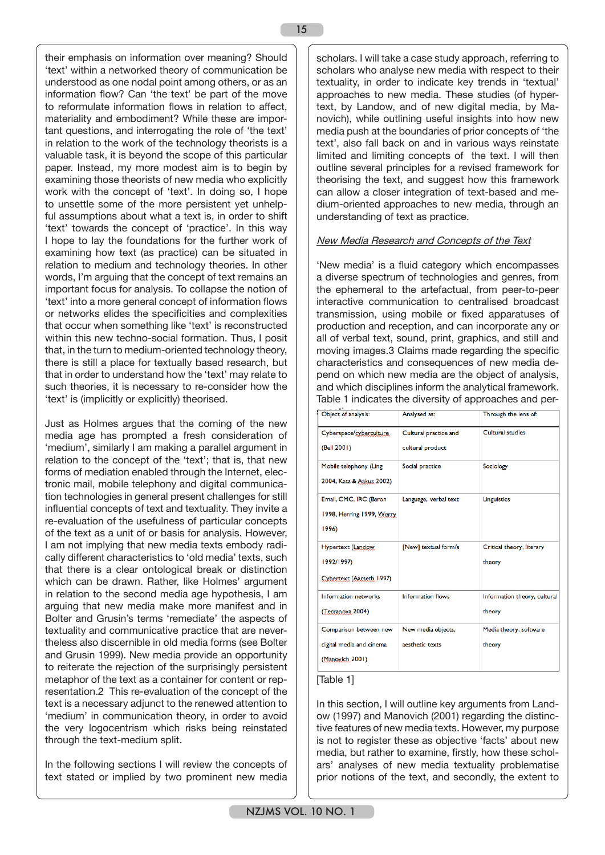their emphasis on information over meaning? Should 'text' within a networked theory of communication be understood as one nodal point among others, or as an information flow? Can 'the text' be part of the move to reformulate information flows in relation to affect, materiality and embodiment? While these are important questions, and interrogating the role of 'the text' in relation to the work of the technology theorists is a valuable task, it is beyond the scope of this particular paper. Instead, my more modest aim is to begin by examining those theorists of new media who explicitly work with the concept of 'text'. In doing so, I hope to unsettle some of the more persistent yet unhelpful assumptions about what a text is, in order to shift 'text' towards the concept of 'practice'. In this way I hope to lay the foundations for the further work of examining how text (as practice) can be situated in relation to medium and technology theories. In other words, I'm arguing that the concept of text remains an important focus for analysis. To collapse the notion of 'text' into a more general concept of information flows or networks elides the specificities and complexities that occur when something like 'text' is reconstructed within this new techno-social formation. Thus, I posit that, in the turn to medium-oriented technology theory, there is still a place for textually based research, but that in order to understand how the 'text' may relate to such theories, it is necessary to re-consider how the 'text' is (implicitly or explicitly) theorised.

Just as Holmes argues that the coming of the new media age has prompted a fresh consideration of 'medium', similarly I am making a parallel argument in relation to the concept of the 'text'; that is, that new forms of mediation enabled through the Internet, electronic mail, mobile telephony and digital communication technologies in general present challenges for still influential concepts of text and textuality. They invite a re-evaluation of the usefulness of particular concepts of the text as a unit of or basis for analysis. However, I am not implying that new media texts embody radically different characteristics to 'old media' texts, such that there is a clear ontological break or distinction which can be drawn. Rather, like Holmes' argument in relation to the second media age hypothesis, I am arguing that new media make more manifest and in Bolter and Grusin's terms 'remediate' the aspects of textuality and communicative practice that are nevertheless also discernible in old media forms (see Bolter and Grusin 1999). New media provide an opportunity to reiterate the rejection of the surprisingly persistent metaphor of the text as a container for content or representation.2 This re-evaluation of the concept of the text is a necessary adjunct to the renewed attention to 'medium' in communication theory, in order to avoid the very logocentrism which risks being reinstated through the text-medium split.

In the following sections I will review the concepts of text stated or implied by two prominent new media scholars. I will take a case study approach, referring to scholars who analyse new media with respect to their textuality, in order to indicate key trends in 'textual' approaches to new media. These studies (of hypertext, by Landow, and of new digital media, by Manovich), while outlining useful insights into how new media push at the boundaries of prior concepts of 'the text', also fall back on and in various ways reinstate limited and limiting concepts of the text. I will then outline several principles for a revised framework for theorising the text, and suggest how this framework can allow a closer integration of text-based and medium-oriented approaches to new media, through an understanding of text as practice.

## New Media Research and Concepts of the Text

'New media' is a fluid category which encompasses a diverse spectrum of technologies and genres, from the ephemeral to the artefactual, from peer-to-peer interactive communication to centralised broadcast transmission, using mobile or fixed apparatuses of production and reception, and can incorporate any or all of verbal text, sound, print, graphics, and still and moving images.3 Claims made regarding the specific characteristics and consequences of new media depend on which new media are the object of analysis, and which disciplines inform the analytical framework. Table 1 indicates the diversity of approaches and per-

| Object of analysis:                                                   | Analysed as:                              | Through the lens of:                   |
|-----------------------------------------------------------------------|-------------------------------------------|----------------------------------------|
| Cyberspace/cyberculture<br>(Bell 2001)                                | Cultural practice and<br>cultural product | <b>Cultural studies</b>                |
| Mobile telephony (Ling<br>2004, Katz & Aakus 2002)                    | Social practice                           | Sociology                              |
| Email, CMC, IRC (Baron<br>1998, Herring 1999, Werry<br>1996)          | Language, verbal text                     | Linguistics                            |
| Hypertext (Landow,<br>1992/1997)<br>Cybertext (Aarseth 1997)          | [New] textual form/s                      | Critical theory, literary<br>theory    |
| <b>Information networks</b><br>(Terranova 2004)                       | <b>Information flows</b>                  | Information theory, cultural<br>theory |
| Comparison between new<br>digital media and cinema<br>(Manovich 2001) | New media objects,<br>aesthetic texts     | Media theory, software<br>theory       |

## [Table 1]

In this section, I will outline key arguments from Landow (1997) and Manovich (2001) regarding the distinctive features of new media texts. However, my purpose is not to register these as objective 'facts' about new media, but rather to examine, firstly, how these scholars' analyses of new media textuality problematise prior notions of the text, and secondly, the extent to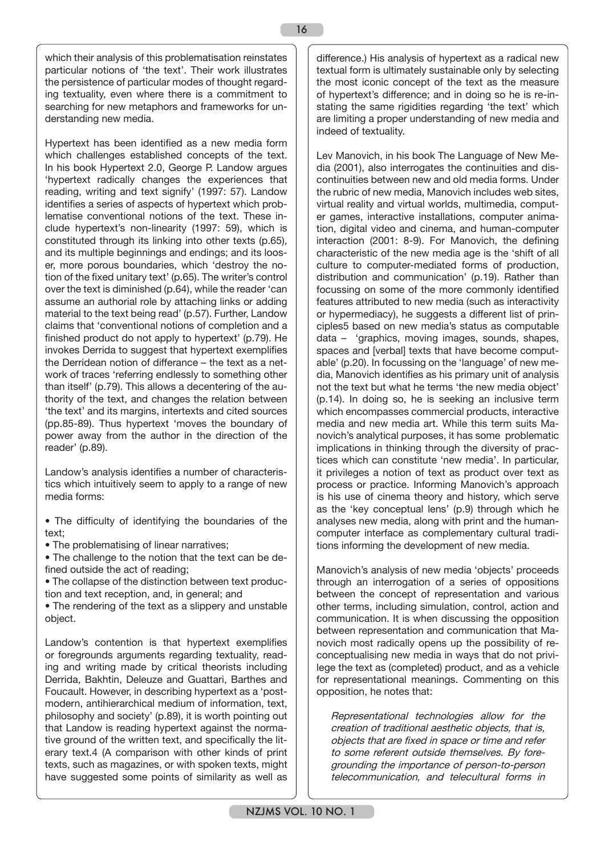which their analysis of this problematisation reinstates particular notions of 'the text'. Their work illustrates the persistence of particular modes of thought regarding textuality, even where there is a commitment to searching for new metaphors and frameworks for understanding new media.

Hypertext has been identified as a new media form which challenges established concepts of the text. In his book Hypertext 2.0, George P. Landow argues 'hypertext radically changes the experiences that reading, writing and text signify' (1997: 57). Landow identifies a series of aspects of hypertext which problematise conventional notions of the text. These include hypertext's non-linearity (1997: 59), which is constituted through its linking into other texts (p.65), and its multiple beginnings and endings; and its looser, more porous boundaries, which 'destroy the notion of the fixed unitary text' (p.65). The writer's control over the text is diminished (p.64), while the reader 'can assume an authorial role by attaching links or adding material to the text being read' (p.57). Further, Landow claims that 'conventional notions of completion and a finished product do not apply to hypertext' (p.79). He invokes Derrida to suggest that hypertext exemplifies the Derridean notion of differance – the text as a network of traces 'referring endlessly to something other than itself' (p.79). This allows a decentering of the authority of the text, and changes the relation between 'the text' and its margins, intertexts and cited sources (pp.85-89). Thus hypertext 'moves the boundary of power away from the author in the direction of the reader' (p.89).

Landow's analysis identifies a number of characteristics which intuitively seem to apply to a range of new media forms:

- The difficulty of identifying the boundaries of the text;
- The problematising of linear narratives;

• The challenge to the notion that the text can be defined outside the act of reading;

• The collapse of the distinction between text production and text reception, and, in general; and

• The rendering of the text as a slippery and unstable object.

Landow's contention is that hypertext exemplifies or foregrounds arguments regarding textuality, reading and writing made by critical theorists including Derrida, Bakhtin, Deleuze and Guattari, Barthes and Foucault. However, in describing hypertext as a 'postmodern, antihierarchical medium of information, text, philosophy and society' (p.89), it is worth pointing out that Landow is reading hypertext against the normative ground of the written text, and specifically the literary text.4 (A comparison with other kinds of print texts, such as magazines, or with spoken texts, might have suggested some points of similarity as well as

difference.) His analysis of hypertext as a radical new textual form is ultimately sustainable only by selecting the most iconic concept of the text as the measure of hypertext's difference; and in doing so he is re-instating the same rigidities regarding 'the text' which are limiting a proper understanding of new media and indeed of textuality.

Lev Manovich, in his book The Language of New Media (2001), also interrogates the continuities and discontinuities between new and old media forms. Under the rubric of new media, Manovich includes web sites, virtual reality and virtual worlds, multimedia, computer games, interactive installations, computer animation, digital video and cinema, and human-computer interaction (2001: 8-9). For Manovich, the defining characteristic of the new media age is the 'shift of all culture to computer-mediated forms of production, distribution and communication' (p.19). Rather than focussing on some of the more commonly identified features attributed to new media (such as interactivity or hypermediacy), he suggests a different list of principles5 based on new media's status as computable data – 'graphics, moving images, sounds, shapes, spaces and [verbal] texts that have become computable' (p.20). In focussing on the 'language' of new media, Manovich identifies as his primary unit of analysis not the text but what he terms 'the new media object' (p.14). In doing so, he is seeking an inclusive term which encompasses commercial products, interactive media and new media art. While this term suits Manovich's analytical purposes, it has some problematic implications in thinking through the diversity of practices which can constitute 'new media'. In particular, it privileges a notion of text as product over text as process or practice. Informing Manovich's approach is his use of cinema theory and history, which serve as the 'key conceptual lens' (p.9) through which he analyses new media, along with print and the humancomputer interface as complementary cultural traditions informing the development of new media.

Manovich's analysis of new media 'objects' proceeds through an interrogation of a series of oppositions between the concept of representation and various other terms, including simulation, control, action and communication. It is when discussing the opposition between representation and communication that Manovich most radically opens up the possibility of reconceptualising new media in ways that do not privilege the text as (completed) product, and as a vehicle for representational meanings. Commenting on this opposition, he notes that:

Representational technologies allow for the creation of traditional aesthetic objects, that is, objects that are fixed in space or time and refer to some referent outside themselves. By foregrounding the importance of person-to-person telecommunication, and telecultural forms in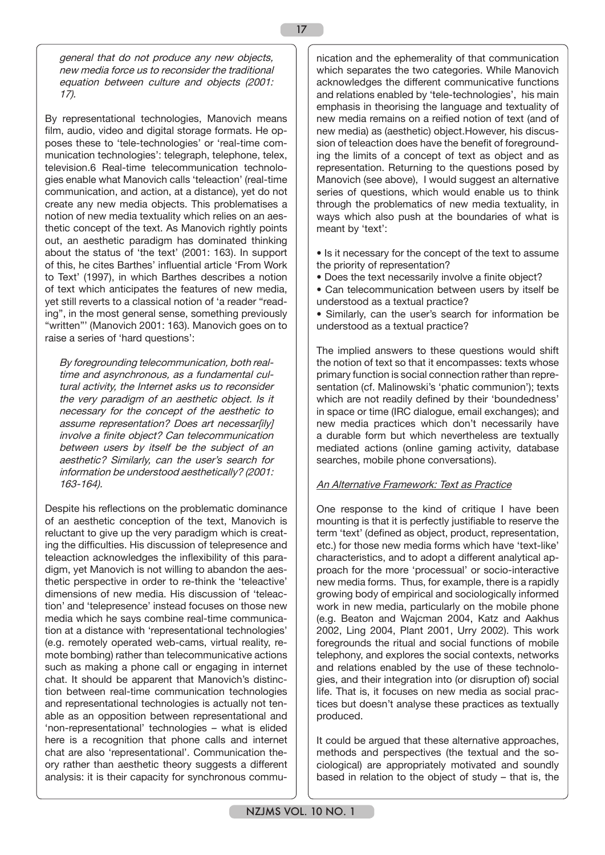general that do not produce any new objects, new media force us to reconsider the traditional equation between culture and objects (2001: 17).

By representational technologies, Manovich means film, audio, video and digital storage formats. He opposes these to 'tele-technologies' or 'real-time communication technologies': telegraph, telephone, telex, television.6 Real-time telecommunication technologies enable what Manovich calls 'teleaction' (real-time communication, and action, at a distance), yet do not create any new media objects. This problematises a notion of new media textuality which relies on an aesthetic concept of the text. As Manovich rightly points out, an aesthetic paradigm has dominated thinking about the status of 'the text' (2001: 163). In support of this, he cites Barthes' influential article 'From Work to Text' (1997), in which Barthes describes a notion of text which anticipates the features of new media, yet still reverts to a classical notion of 'a reader "reading", in the most general sense, something previously "written"' (Manovich 2001: 163). Manovich goes on to raise a series of 'hard questions':

By foregrounding telecommunication, both realtime and asynchronous, as a fundamental cultural activity, the Internet asks us to reconsider the very paradigm of an aesthetic object. Is it necessary for the concept of the aesthetic to assume representation? Does art necessar[ily] involve a finite object? Can telecommunication between users by itself be the subject of an aesthetic? Similarly, can the user's search for information be understood aesthetically? (2001: 163-164).

Despite his reflections on the problematic dominance of an aesthetic conception of the text, Manovich is reluctant to give up the very paradigm which is creating the difficulties. His discussion of telepresence and teleaction acknowledges the inflexibility of this paradigm, yet Manovich is not willing to abandon the aesthetic perspective in order to re-think the 'teleactive' dimensions of new media. His discussion of 'teleaction' and 'telepresence' instead focuses on those new media which he says combine real-time communication at a distance with 'representational technologies' (e.g. remotely operated web-cams, virtual reality, remote bombing) rather than telecommunicative actions such as making a phone call or engaging in internet chat. It should be apparent that Manovich's distinction between real-time communication technologies and representational technologies is actually not tenable as an opposition between representational and 'non-representational' technologies – what is elided here is a recognition that phone calls and internet chat are also 'representational'. Communication theory rather than aesthetic theory suggests a different analysis: it is their capacity for synchronous communication and the ephemerality of that communication which separates the two categories. While Manovich acknowledges the different communicative functions and relations enabled by 'tele-technologies', his main emphasis in theorising the language and textuality of new media remains on a reified notion of text (and of new media) as (aesthetic) object.However, his discussion of teleaction does have the benefit of foregrounding the limits of a concept of text as object and as representation. Returning to the questions posed by Manovich (see above), I would suggest an alternative series of questions, which would enable us to think through the problematics of new media textuality, in ways which also push at the boundaries of what is meant by 'text':

• Is it necessary for the concept of the text to assume the priority of representation?

- Does the text necessarily involve a finite object?
- Can telecommunication between users by itself be understood as a textual practice?
- Similarly, can the user's search for information be understood as a textual practice?

The implied answers to these questions would shift the notion of text so that it encompasses: texts whose primary function is social connection rather than representation (cf. Malinowski's 'phatic communion'); texts which are not readily defined by their 'boundedness' in space or time (IRC dialogue, email exchanges); and new media practices which don't necessarily have a durable form but which nevertheless are textually mediated actions (online gaming activity, database searches, mobile phone conversations).

# An Alternative Framework: Text as Practice

One response to the kind of critique I have been mounting is that it is perfectly justifiable to reserve the term 'text' (defined as object, product, representation, etc.) for those new media forms which have 'text-like' characteristics, and to adopt a different analytical approach for the more 'processual' or socio-interactive new media forms. Thus, for example, there is a rapidly growing body of empirical and sociologically informed work in new media, particularly on the mobile phone (e.g. Beaton and Wajcman 2004, Katz and Aakhus 2002, Ling 2004, Plant 2001, Urry 2002). This work foregrounds the ritual and social functions of mobile telephony, and explores the social contexts, networks and relations enabled by the use of these technologies, and their integration into (or disruption of) social life. That is, it focuses on new media as social practices but doesn't analyse these practices as textually produced.

It could be argued that these alternative approaches. methods and perspectives (the textual and the sociological) are appropriately motivated and soundly based in relation to the object of study – that is, the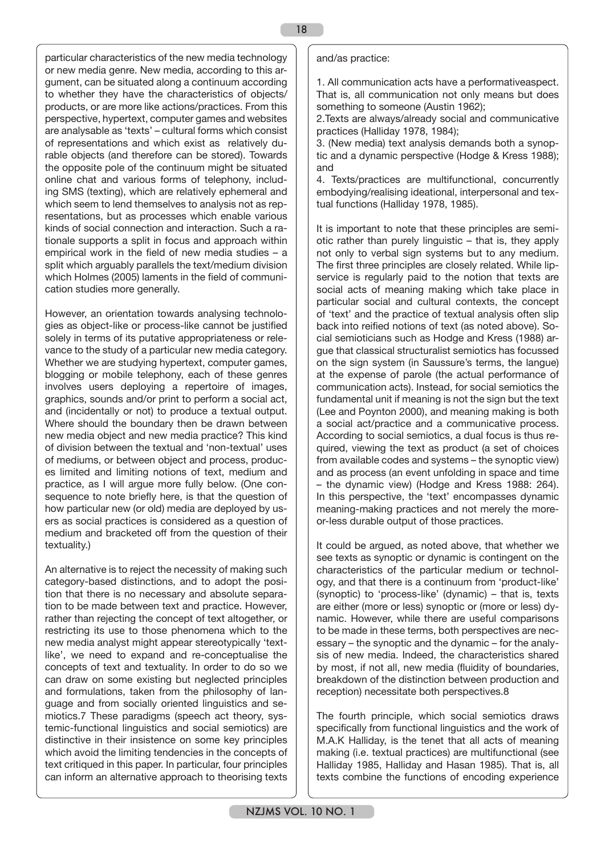particular characteristics of the new media technology or new media genre. New media, according to this argument, can be situated along a continuum according to whether they have the characteristics of objects/ products, or are more like actions/practices. From this perspective, hypertext, computer games and websites are analysable as 'texts' – cultural forms which consist of representations and which exist as relatively durable objects (and therefore can be stored). Towards the opposite pole of the continuum might be situated online chat and various forms of telephony, including SMS (texting), which are relatively ephemeral and which seem to lend themselves to analysis not as representations, but as processes which enable various kinds of social connection and interaction. Such a rationale supports a split in focus and approach within empirical work in the field of new media studies – a split which arguably parallels the text/medium division which Holmes (2005) laments in the field of communication studies more generally.

However, an orientation towards analysing technologies as object-like or process-like cannot be justified solely in terms of its putative appropriateness or relevance to the study of a particular new media category. Whether we are studying hypertext, computer games, blogging or mobile telephony, each of these genres involves users deploying a repertoire of images, graphics, sounds and/or print to perform a social act, and (incidentally or not) to produce a textual output. Where should the boundary then be drawn between new media object and new media practice? This kind of division between the textual and 'non-textual' uses of mediums, or between object and process, produces limited and limiting notions of text, medium and practice, as I will argue more fully below. (One consequence to note briefly here, is that the question of how particular new (or old) media are deployed by users as social practices is considered as a question of medium and bracketed off from the question of their textuality.)

An alternative is to reject the necessity of making such category-based distinctions, and to adopt the position that there is no necessary and absolute separation to be made between text and practice. However, rather than rejecting the concept of text altogether, or restricting its use to those phenomena which to the new media analyst might appear stereotypically 'textlike', we need to expand and re-conceptualise the concepts of text and textuality. In order to do so we can draw on some existing but neglected principles and formulations, taken from the philosophy of language and from socially oriented linguistics and semiotics.7 These paradigms (speech act theory, systemic-functional linguistics and social semiotics) are distinctive in their insistence on some key principles which avoid the limiting tendencies in the concepts of text critiqued in this paper. In particular, four principles can inform an alternative approach to theorising texts

#### and/as practice:

1. All communication acts have a performativeaspect. That is, all communication not only means but does something to someone (Austin 1962);

2.Texts are always/already social and communicative practices (Halliday 1978, 1984);

3. (New media) text analysis demands both a synoptic and a dynamic perspective (Hodge & Kress 1988); and

4. Texts/practices are multifunctional, concurrently embodying/realising ideational, interpersonal and textual functions (Halliday 1978, 1985).

It is important to note that these principles are semiotic rather than purely linguistic – that is, they apply not only to verbal sign systems but to any medium. The first three principles are closely related. While lipservice is regularly paid to the notion that texts are social acts of meaning making which take place in particular social and cultural contexts, the concept of 'text' and the practice of textual analysis often slip back into reified notions of text (as noted above). Social semioticians such as Hodge and Kress (1988) argue that classical structuralist semiotics has focussed on the sign system (in Saussure's terms, the langue) at the expense of parole (the actual performance of communication acts). Instead, for social semiotics the fundamental unit if meaning is not the sign but the text (Lee and Poynton 2000), and meaning making is both a social act/practice and a communicative process. According to social semiotics, a dual focus is thus required, viewing the text as product (a set of choices from available codes and systems – the synoptic view) and as process (an event unfolding in space and time – the dynamic view) (Hodge and Kress 1988: 264). In this perspective, the 'text' encompasses dynamic meaning-making practices and not merely the moreor-less durable output of those practices.

It could be argued, as noted above, that whether we see texts as synoptic or dynamic is contingent on the characteristics of the particular medium or technology, and that there is a continuum from 'product-like' (synoptic) to 'process-like' (dynamic) – that is, texts are either (more or less) synoptic or (more or less) dynamic. However, while there are useful comparisons to be made in these terms, both perspectives are necessary – the synoptic and the dynamic – for the analysis of new media. Indeed, the characteristics shared by most, if not all, new media (fluidity of boundaries, breakdown of the distinction between production and reception) necessitate both perspectives.8

The fourth principle, which social semiotics draws specifically from functional linguistics and the work of M.A.K Halliday, is the tenet that all acts of meaning making (i.e. textual practices) are multifunctional (see Halliday 1985, Halliday and Hasan 1985). That is, all texts combine the functions of encoding experience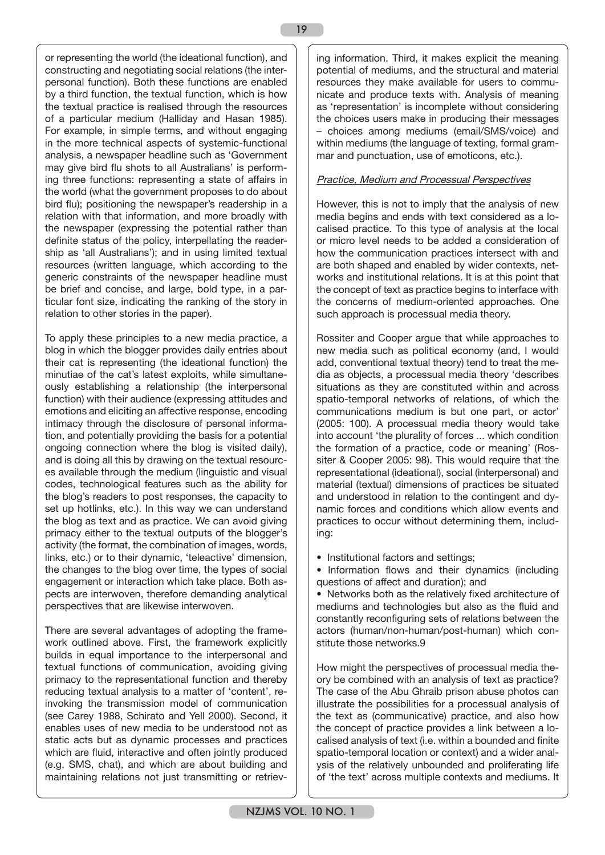or representing the world (the ideational function), and constructing and negotiating social relations (the interpersonal function). Both these functions are enabled by a third function, the textual function, which is how the textual practice is realised through the resources of a particular medium (Halliday and Hasan 1985). For example, in simple terms, and without engaging in the more technical aspects of systemic-functional analysis, a newspaper headline such as 'Government may give bird flu shots to all Australians' is performing three functions: representing a state of affairs in the world (what the government proposes to do about bird flu); positioning the newspaper's readership in a relation with that information, and more broadly with the newspaper (expressing the potential rather than definite status of the policy, interpellating the readership as 'all Australians'); and in using limited textual resources (written language, which according to the generic constraints of the newspaper headline must be brief and concise, and large, bold type, in a particular font size, indicating the ranking of the story in relation to other stories in the paper).

To apply these principles to a new media practice, a blog in which the blogger provides daily entries about their cat is representing (the ideational function) the minutiae of the cat's latest exploits, while simultaneously establishing a relationship (the interpersonal function) with their audience (expressing attitudes and emotions and eliciting an affective response, encoding intimacy through the disclosure of personal information, and potentially providing the basis for a potential ongoing connection where the blog is visited daily), and is doing all this by drawing on the textual resources available through the medium (linguistic and visual codes, technological features such as the ability for the blog's readers to post responses, the capacity to set up hotlinks, etc.). In this way we can understand the blog as text and as practice. We can avoid giving primacy either to the textual outputs of the blogger's activity (the format, the combination of images, words, links, etc.) or to their dynamic, 'teleactive' dimension, the changes to the blog over time, the types of social engagement or interaction which take place. Both aspects are interwoven, therefore demanding analytical perspectives that are likewise interwoven.

There are several advantages of adopting the framework outlined above. First, the framework explicitly builds in equal importance to the interpersonal and textual functions of communication, avoiding giving primacy to the representational function and thereby reducing textual analysis to a matter of 'content', reinvoking the transmission model of communication (see Carey 1988, Schirato and Yell 2000). Second, it enables uses of new media to be understood not as static acts but as dynamic processes and practices which are fluid, interactive and often jointly produced (e.g. SMS, chat), and which are about building and maintaining relations not just transmitting or retrieving information. Third, it makes explicit the meaning potential of mediums, and the structural and material resources they make available for users to communicate and produce texts with. Analysis of meaning as 'representation' is incomplete without considering the choices users make in producing their messages – choices among mediums (email/SMS/voice) and within mediums (the language of texting, formal grammar and punctuation, use of emoticons, etc.).

# Practice, Medium and Processual Perspectives

However, this is not to imply that the analysis of new media begins and ends with text considered as a localised practice. To this type of analysis at the local or micro level needs to be added a consideration of how the communication practices intersect with and are both shaped and enabled by wider contexts, networks and institutional relations. It is at this point that the concept of text as practice begins to interface with the concerns of medium-oriented approaches. One such approach is processual media theory.

Rossiter and Cooper argue that while approaches to new media such as political economy (and, I would add, conventional textual theory) tend to treat the media as objects, a processual media theory 'describes situations as they are constituted within and across spatio-temporal networks of relations, of which the communications medium is but one part, or actor' (2005: 100). A processual media theory would take into account 'the plurality of forces ... which condition the formation of a practice, code or meaning' (Rossiter & Cooper 2005: 98). This would require that the representational (ideational), social (interpersonal) and material (textual) dimensions of practices be situated and understood in relation to the contingent and dynamic forces and conditions which allow events and practices to occur without determining them, including:

• Institutional factors and settings;

• Information flows and their dynamics (including questions of affect and duration); and

• Networks both as the relatively fixed architecture of mediums and technologies but also as the fluid and constantly reconfiguring sets of relations between the actors (human/non-human/post-human) which constitute those networks.9

How might the perspectives of processual media theory be combined with an analysis of text as practice? The case of the Abu Ghraib prison abuse photos can illustrate the possibilities for a processual analysis of the text as (communicative) practice, and also how the concept of practice provides a link between a localised analysis of text (i.e. within a bounded and finite spatio-temporal location or context) and a wider analysis of the relatively unbounded and proliferating life of 'the text' across multiple contexts and mediums. It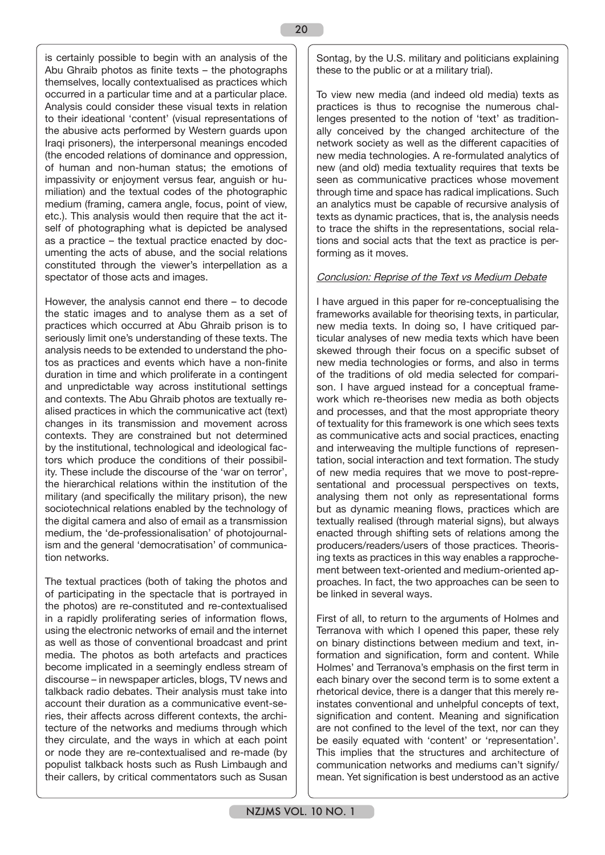is certainly possible to begin with an analysis of the Abu Ghraib photos as finite texts – the photographs themselves, locally contextualised as practices which occurred in a particular time and at a particular place. Analysis could consider these visual texts in relation to their ideational 'content' (visual representations of the abusive acts performed by Western guards upon Iraqi prisoners), the interpersonal meanings encoded (the encoded relations of dominance and oppression, of human and non-human status; the emotions of impassivity or enjoyment versus fear, anguish or humiliation) and the textual codes of the photographic medium (framing, camera angle, focus, point of view, etc.). This analysis would then require that the act itself of photographing what is depicted be analysed as a practice – the textual practice enacted by documenting the acts of abuse, and the social relations constituted through the viewer's interpellation as a spectator of those acts and images.

However, the analysis cannot end there – to decode the static images and to analyse them as a set of practices which occurred at Abu Ghraib prison is to seriously limit one's understanding of these texts. The analysis needs to be extended to understand the photos as practices and events which have a non-finite duration in time and which proliferate in a contingent and unpredictable way across institutional settings and contexts. The Abu Ghraib photos are textually realised practices in which the communicative act (text) changes in its transmission and movement across contexts. They are constrained but not determined by the institutional, technological and ideological factors which produce the conditions of their possibility. These include the discourse of the 'war on terror', the hierarchical relations within the institution of the military (and specifically the military prison), the new sociotechnical relations enabled by the technology of the digital camera and also of email as a transmission medium, the 'de-professionalisation' of photojournalism and the general 'democratisation' of communication networks.

The textual practices (both of taking the photos and of participating in the spectacle that is portrayed in the photos) are re-constituted and re-contextualised in a rapidly proliferating series of information flows, using the electronic networks of email and the internet as well as those of conventional broadcast and print media. The photos as both artefacts and practices become implicated in a seemingly endless stream of discourse – in newspaper articles, blogs, TV news and talkback radio debates. Their analysis must take into account their duration as a communicative event-series, their affects across different contexts, the architecture of the networks and mediums through which they circulate, and the ways in which at each point or node they are re-contextualised and re-made (by populist talkback hosts such as Rush Limbaugh and their callers, by critical commentators such as Susan

Sontag, by the U.S. military and politicians explaining these to the public or at a military trial).

To view new media (and indeed old media) texts as practices is thus to recognise the numerous challenges presented to the notion of 'text' as traditionally conceived by the changed architecture of the network society as well as the different capacities of new media technologies. A re-formulated analytics of new (and old) media textuality requires that texts be seen as communicative practices whose movement through time and space has radical implications. Such an analytics must be capable of recursive analysis of texts as dynamic practices, that is, the analysis needs to trace the shifts in the representations, social relations and social acts that the text as practice is performing as it moves.

#### Conclusion: Reprise of the Text vs Medium Debate

I have argued in this paper for re-conceptualising the frameworks available for theorising texts, in particular, new media texts. In doing so, I have critiqued particular analyses of new media texts which have been skewed through their focus on a specific subset of new media technologies or forms, and also in terms of the traditions of old media selected for comparison. I have argued instead for a conceptual framework which re-theorises new media as both objects and processes, and that the most appropriate theory of textuality for this framework is one which sees texts as communicative acts and social practices, enacting and interweaving the multiple functions of representation, social interaction and text formation. The study of new media requires that we move to post-representational and processual perspectives on texts, analysing them not only as representational forms but as dynamic meaning flows, practices which are textually realised (through material signs), but always enacted through shifting sets of relations among the producers/readers/users of those practices. Theorising texts as practices in this way enables a rapprochement between text-oriented and medium-oriented approaches. In fact, the two approaches can be seen to be linked in several ways.

First of all, to return to the arguments of Holmes and Terranova with which I opened this paper, these rely on binary distinctions between medium and text, information and signification, form and content. While Holmes' and Terranova's emphasis on the first term in each binary over the second term is to some extent a rhetorical device, there is a danger that this merely reinstates conventional and unhelpful concepts of text, signification and content. Meaning and signification are not confined to the level of the text, nor can they be easily equated with 'content' or 'representation'. This implies that the structures and architecture of communication networks and mediums can't signify/ mean. Yet signification is best understood as an active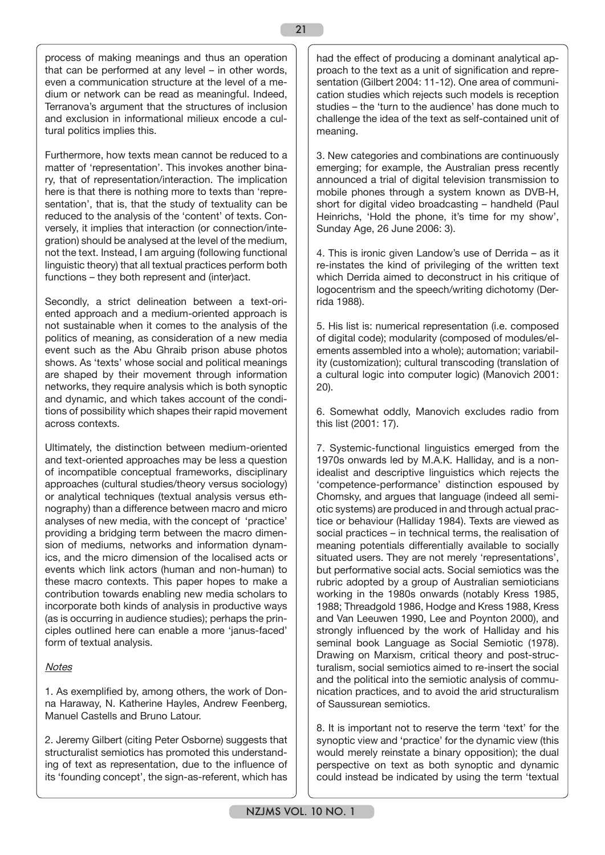process of making meanings and thus an operation that can be performed at any level – in other words, even a communication structure at the level of a medium or network can be read as meaningful. Indeed, Terranova's argument that the structures of inclusion and exclusion in informational milieux encode a cultural politics implies this.

Furthermore, how texts mean cannot be reduced to a matter of 'representation'. This invokes another binary, that of representation/interaction. The implication here is that there is nothing more to texts than 'representation', that is, that the study of textuality can be reduced to the analysis of the 'content' of texts. Conversely, it implies that interaction (or connection/integration) should be analysed at the level of the medium, not the text. Instead, I am arguing (following functional linguistic theory) that all textual practices perform both functions – they both represent and (inter)act.

Secondly, a strict delineation between a text-oriented approach and a medium-oriented approach is not sustainable when it comes to the analysis of the politics of meaning, as consideration of a new media event such as the Abu Ghraib prison abuse photos shows. As 'texts' whose social and political meanings are shaped by their movement through information networks, they require analysis which is both synoptic and dynamic, and which takes account of the conditions of possibility which shapes their rapid movement across contexts.

Ultimately, the distinction between medium-oriented and text-oriented approaches may be less a question of incompatible conceptual frameworks, disciplinary approaches (cultural studies/theory versus sociology) or analytical techniques (textual analysis versus ethnography) than a difference between macro and micro analyses of new media, with the concept of 'practice' providing a bridging term between the macro dimension of mediums, networks and information dynamics, and the micro dimension of the localised acts or events which link actors (human and non-human) to these macro contexts. This paper hopes to make a contribution towards enabling new media scholars to incorporate both kinds of analysis in productive ways (as is occurring in audience studies); perhaps the principles outlined here can enable a more 'janus-faced' form of textual analysis.

# **Notes**

1. As exemplified by, among others, the work of Donna Haraway, N. Katherine Hayles, Andrew Feenberg, Manuel Castells and Bruno Latour.

2. Jeremy Gilbert (citing Peter Osborne) suggests that structuralist semiotics has promoted this understanding of text as representation, due to the influence of its 'founding concept', the sign-as-referent, which has

had the effect of producing a dominant analytical approach to the text as a unit of signification and representation (Gilbert 2004: 11-12). One area of communication studies which rejects such models is reception studies – the 'turn to the audience' has done much to challenge the idea of the text as self-contained unit of meaning.

3. New categories and combinations are continuously emerging; for example, the Australian press recently announced a trial of digital television transmission to mobile phones through a system known as DVB-H, short for digital video broadcasting – handheld (Paul Heinrichs, 'Hold the phone, it's time for my show', Sunday Age, 26 June 2006: 3).

4. This is ironic given Landow's use of Derrida – as it re-instates the kind of privileging of the written text which Derrida aimed to deconstruct in his critique of logocentrism and the speech/writing dichotomy (Derrida 1988).

5. His list is: numerical representation (i.e. composed of digital code); modularity (composed of modules/elements assembled into a whole); automation; variability (customization); cultural transcoding (translation of a cultural logic into computer logic) (Manovich 2001: 20).

6. Somewhat oddly, Manovich excludes radio from this list (2001: 17).

7. Systemic-functional linguistics emerged from the 1970s onwards led by M.A.K. Halliday, and is a nonidealist and descriptive linguistics which rejects the 'competence-performance' distinction espoused by Chomsky, and argues that language (indeed all semiotic systems) are produced in and through actual practice or behaviour (Halliday 1984). Texts are viewed as social practices – in technical terms, the realisation of meaning potentials differentially available to socially situated users. They are not merely 'representations', but performative social acts. Social semiotics was the rubric adopted by a group of Australian semioticians working in the 1980s onwards (notably Kress 1985, 1988; Threadgold 1986, Hodge and Kress 1988, Kress and Van Leeuwen 1990, Lee and Poynton 2000), and strongly influenced by the work of Halliday and his seminal book Language as Social Semiotic (1978). Drawing on Marxism, critical theory and post-structuralism, social semiotics aimed to re-insert the social and the political into the semiotic analysis of communication practices, and to avoid the arid structuralism of Saussurean semiotics.

8. It is important not to reserve the term 'text' for the synoptic view and 'practice' for the dynamic view (this would merely reinstate a binary opposition); the dual perspective on text as both synoptic and dynamic could instead be indicated by using the term 'textual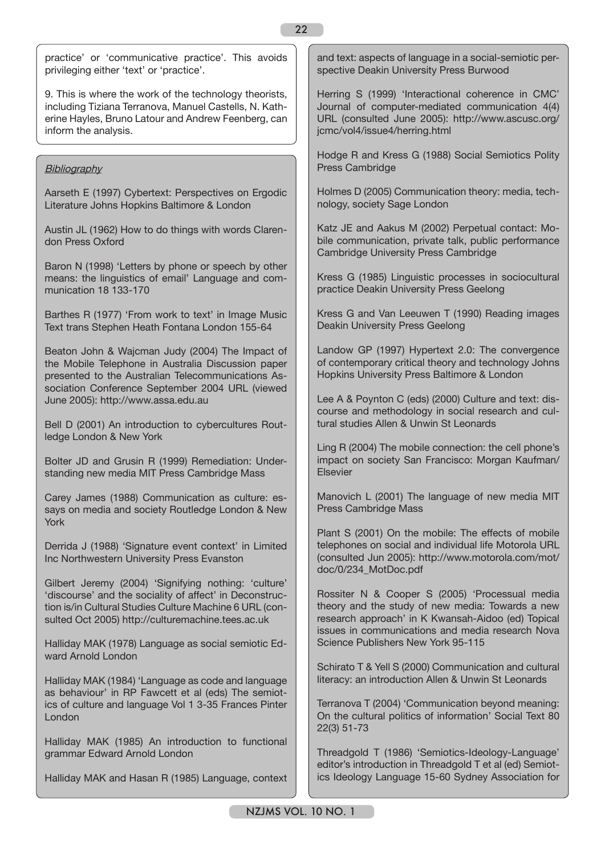practice' or 'communicative practice'. This avoids privileging either 'text' or 'practice'.

9. This is where the work of the technology theorists, including Tiziana Terranova, Manuel Castells, N. Katherine Hayles, Bruno Latour and Andrew Feenberg, can inform the analysis.

## **Bibliography**

Aarseth E (1997) Cybertext: Perspectives on Ergodic Literature Johns Hopkins Baltimore & London

Austin JL (1962) How to do things with words Clarendon Press Oxford

Baron N (1998) 'Letters by phone or speech by other means: the linguistics of email' Language and communication 18 133-170

Barthes R (1977) 'From work to text' in Image Music Text trans Stephen Heath Fontana London 155-64

Beaton John & Wajcman Judy (2004) The Impact of the Mobile Telephone in Australia Discussion paper presented to the Australian Telecommunications Association Conference September 2004 URL (viewed June 2005): http://www.assa.edu.au

Bell D (2001) An introduction to cybercultures Routledge London & New York

Bolter JD and Grusin R (1999) Remediation: Understanding new media MIT Press Cambridge Mass

Carey James (1988) Communication as culture: essays on media and society Routledge London & New York

Derrida J (1988) 'Signature event context' in Limited Inc Northwestern University Press Evanston

Gilbert Jeremy (2004) 'Signifying nothing: 'culture' 'discourse' and the sociality of affect' in Deconstruction is/in Cultural Studies Culture Machine 6 URL (consulted Oct 2005) http://culturemachine.tees.ac.uk

Halliday MAK (1978) Language as social semiotic Edward Arnold London

Halliday MAK (1984) 'Language as code and language as behaviour' in RP Fawcett et al (eds) The semiotics of culture and language Vol 1 3-35 Frances Pinter London

Halliday MAK (1985) An introduction to functional grammar Edward Arnold London

Halliday MAK and Hasan R (1985) Language, context

and text: aspects of language in a social-semiotic perspective Deakin University Press Burwood

Herring S (1999) 'Interactional coherence in CMC' Journal of computer-mediated communication 4(4) URL (consulted June 2005): http://www.ascusc.org/ jcmc/vol4/issue4/herring.html

Hodge R and Kress G (1988) Social Semiotics Polity Press Cambridge

Holmes D (2005) Communication theory: media, technology, society Sage London

Katz JE and Aakus M (2002) Perpetual contact: Mobile communication, private talk, public performance Cambridge University Press Cambridge

Kress G (1985) Linguistic processes in sociocultural practice Deakin University Press Geelong

Kress G and Van Leeuwen T (1990) Reading images Deakin University Press Geelong

Landow GP (1997) Hypertext 2.0: The convergence of contemporary critical theory and technology Johns Hopkins University Press Baltimore & London

Lee A & Poynton C (eds) (2000) Culture and text: discourse and methodology in social research and cultural studies Allen & Unwin St Leonards

Ling R (2004) The mobile connection: the cell phone's impact on society San Francisco: Morgan Kaufman/ Elsevier

Manovich L (2001) The language of new media MIT Press Cambridge Mass

Plant S (2001) On the mobile: The effects of mobile telephones on social and individual life Motorola URL (consulted Jun 2005): http://www.motorola.com/mot/ doc/0/234\_MotDoc.pdf

Rossiter N & Cooper S (2005) 'Processual media theory and the study of new media: Towards a new research approach' in K Kwansah-Aidoo (ed) Topical issues in communications and media research Nova Science Publishers New York 95-115

Schirato T & Yell S (2000) Communication and cultural literacy: an introduction Allen & Unwin St Leonards

Terranova T (2004) 'Communication beyond meaning: On the cultural politics of information' Social Text 80 22(3) 51-73

Threadgold T (1986) 'Semiotics-Ideology-Language' editor's introduction in Threadgold T et al (ed) Semiotics Ideology Language 15-60 Sydney Association for